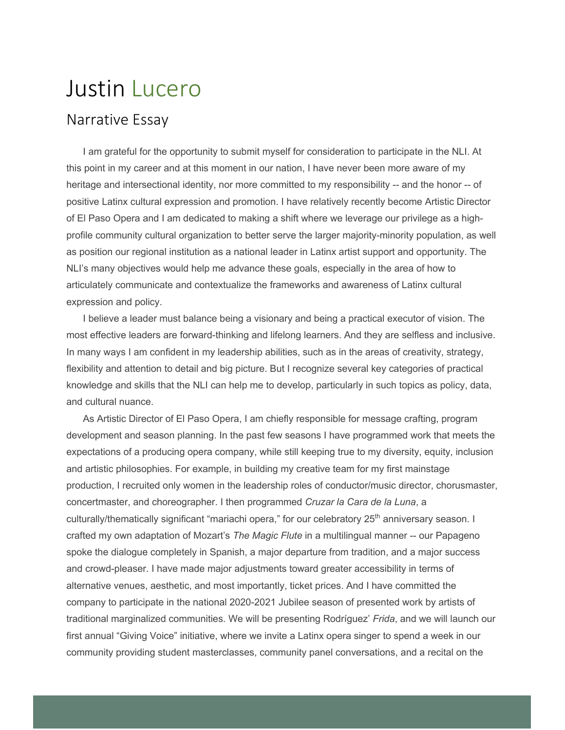## Justin Lucero

## Narrative Essay

I am grateful for the opportunity to submit myself for consideration to participate in the NLI. At this point in my career and at this moment in our nation, I have never been more aware of my heritage and intersectional identity, nor more committed to my responsibility -- and the honor -- of positive Latinx cultural expression and promotion. I have relatively recently become Artistic Director of El Paso Opera and I am dedicated to making a shift where we leverage our privilege as a highprofile community cultural organization to better serve the larger majority-minority population, as well as position our regional institution as a national leader in Latinx artist support and opportunity. The NLI's many objectives would help me advance these goals, especially in the area of how to articulately communicate and contextualize the frameworks and awareness of Latinx cultural expression and policy.

I believe a leader must balance being a visionary and being a practical executor of vision. The most effective leaders are forward-thinking and lifelong learners. And they are selfless and inclusive. In many ways I am confident in my leadership abilities, such as in the areas of creativity, strategy, flexibility and attention to detail and big picture. But I recognize several key categories of practical knowledge and skills that the NLI can help me to develop, particularly in such topics as policy, data, and cultural nuance.

As Artistic Director of El Paso Opera, I am chiefly responsible for message crafting, program development and season planning. In the past few seasons I have programmed work that meets the expectations of a producing opera company, while still keeping true to my diversity, equity, inclusion and artistic philosophies. For example, in building my creative team for my first mainstage production, I recruited only women in the leadership roles of conductor/music director, chorusmaster, concertmaster, and choreographer. I then programmed *Cruzar la Cara de la Luna*, a culturally/thematically significant "mariachi opera," for our celebratory 25<sup>th</sup> anniversary season. I crafted my own adaptation of Mozart's *The Magic Flute* in a multilingual manner -- our Papageno spoke the dialogue completely in Spanish, a major departure from tradition, and a major success and crowd-pleaser. I have made major adjustments toward greater accessibility in terms of alternative venues, aesthetic, and most importantly, ticket prices. And I have committed the company to participate in the national 2020-2021 Jubilee season of presented work by artists of traditional marginalized communities. We will be presenting Rodríguez' *Frida*, and we will launch our first annual "Giving Voice" initiative, where we invite a Latinx opera singer to spend a week in our community providing student masterclasses, community panel conversations, and a recital on the